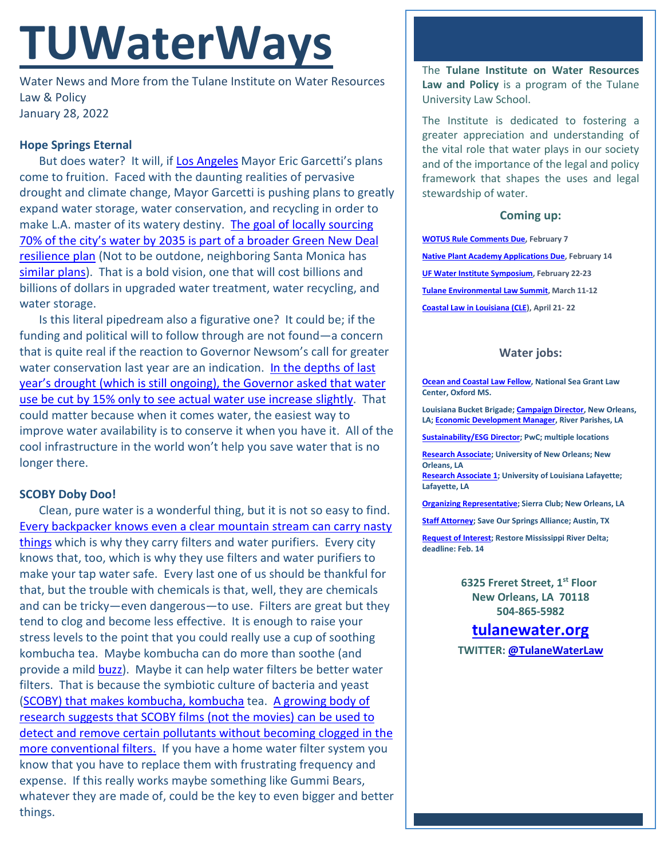# **TUWaterWays**

Water News and More from the Tulane Institute on Water Resources Law & Policy January 28, 2022

# **Hope Springs Eternal**

But does water? It will, if [Los Angeles](https://www.youtube.com/watch?v=Exs-mcKApxI) Mayor Eric Garcetti's plans come to fruition. Faced with the daunting realities of pervasive drought and climate change, Mayor Garcetti is pushing plans to greatly expand water storage, water conservation, and recycling in order to make L.A. master of its watery destiny. The goal of locally sourcing [70% of the city's water by 2035 is part of a broader Green New Deal](https://plan.lamayor.org/targets/targets_plan.html)  [resilience plan](https://plan.lamayor.org/targets/targets_plan.html) (Not to be outdone, neighboring Santa Monica has [similar plans\)](https://www.wateronline.com/doc/santa-monica-takes-landmark-step-toward-water-self-sufficiency-0001). That is a bold vision, one that will cost billions and billions of dollars in upgraded water treatment, water recycling, and water storage.

Is this literal pipedream also a figurative one? It could be; if the funding and political will to follow through are not found—a concern that is quite real if the reaction to Governor Newsom's call for greater water conservation last year are an indication. In the depths of last [year's drought \(which is still ongoing\),](https://www.bloomberg.com/news/features/2022-01-31/los-angeles-plans-a-future-where-water-always-flows) the Governor asked that water [use be cut by 15% only to see actual water use](https://www.bloomberg.com/news/features/2022-01-31/los-angeles-plans-a-future-where-water-always-flows) increase slightly. That could matter because when it comes water, the easiest way to improve water availability is to conserve it when you have it. All of the cool infrastructure in the world won't help you save water that is no longer there.

# **SCOBY Doby Doo!**

Clean, pure water is a wonderful thing, but it is not so easy to find. Every backpacker knows [even a clear mountain stream can carry nasty](https://www.youtube.com/watch?v=ja47-Ctd04c) [things](https://www.youtube.com/watch?v=ja47-Ctd04c) which is why they carry filters and water purifiers. Every city knows that, too, which is why they use filters and water purifiers to make your tap water safe. Every last one of us should be thankful for that, but the trouble with chemicals is that, well, they are chemicals and can be tricky—even dangerous—to use. Filters are great but they tend to clog and become less effective. It is enough to raise your stress levels to the point that you could really use a cup of soothing kombucha tea. Maybe kombucha can do more than soothe (and provide a mild [buzz\)](https://www.youtube.com/watch?v=JAvYUFcRnO4). Maybe it can help water filters be better water filters. That is because the symbiotic culture of bacteria and yeast [\(SCOBY\) that makes kombucha,](https://www.youtube.com/watch?v=LVwCIMHnbSk) kombucha tea. [A growing body of](https://www.wired.com/story/kombucha-cultures-could-make-better-water-filters/)  [research suggests that SCOBY films \(not the movies\) can be used to](https://www.wired.com/story/kombucha-cultures-could-make-better-water-filters/)  [detect and remove certain pollutants without becoming clogged in the](https://www.wired.com/story/kombucha-cultures-could-make-better-water-filters/)  [more conventional filters.](https://www.wired.com/story/kombucha-cultures-could-make-better-water-filters/) If you have a home water filter system you know that you have to replace them with frustrating frequency and expense. If this really works maybe something like Gummi Bears, whatever they are made of, could be the key to even bigger and better things.

The **Tulane Institute on Water Resources Law and Policy** is a program of the Tulane University Law School.

The Institute is dedicated to fostering a greater appreciation and understanding of the vital role that water plays in our society and of the importance of the legal and policy framework that shapes the uses and legal stewardship of water.

### **Coming up:**

**[WOTUS Rule Comments Due,](https://www.regulations.gov/commenton/EPA-HQ-OW-2021-0602-0001) February 7 [Native Plant Academy Applications Due,](https://www.hcsnola.org/post/join-hcs-native-plant-academy) February 14 [UF Water Institute Symposium,](https://conference.ifas.ufl.edu/waterinstitute/) February 22-23 [Tulane Environmental Law Summit,](https://tulaneenvironmentallawsummit.com/) March 11-12 [Coastal Law in Louisiana \(CLE\)](https://www.theseminargroup.net/seminardetl.aspx?id=22.shrNO), April 21- 22**

#### **Water jobs:**

**[Ocean and Coastal Law Fellow,](https://careers.olemiss.edu/job/University-Law-Fellow%2C-Temporary-MS-38677/834883200/) National Sea Grant Law Center, Oxford MS.**

**Louisiana Bucket Brigade[; Campaign Director,](https://labucketbrigade.org/now-hiring-campaign-director/) New Orleans, LA[; Economic Development Manager,](https://labucketbrigade.org/now-hiring-economic-development-manager/) River Parishes, LA** 

**[Sustainability/ESG Director;](https://jobs.us.pwc.com/job/-/-/932/8531402784?utm_source=linkedin.com&utm_campaign=core_media&utm_medium=social_media&utm_content=job_posting&ss=paid&dclid=CIHN-by5yvMCFUvrwAodK4kFqw) PwC; multiple locations**

**[Research Associate;](https://ulsuno.wd1.myworkdayjobs.com/en-US/UniversityOfNewOrleans/job/New-Orleans-La/Research-Associate-1_R-000365) University of New Orleans; New Orleans, LA**

**[Research Associate 1;](https://louisiana.csod.com/ux/ats/careersite/1/home/requisition/1576?c=louisiana) University of Louisiana Lafayette; Lafayette, LA**

**[Organizing Representative;](https://phf.tbe.taleo.net/phf01/ats/careers/v2/viewRequisition?org=SIERRACLUB&cws=39&rid=1816) Sierra Club; New Orleans, LA**

**[Staff Attorney;](https://www.linkedin.com/jobs/view/2875082048/?refId=cDp6TQdAwkl43DDpjZu%2Bfg%3D%3D) Save Our Springs Alliance; Austin, TX**

**[Request of Interest;](https://drive.google.com/file/d/1rNn-JAqzqHiDzEbpUfWR_Rq55DXZfXze/view) Restore Mississippi River Delta; deadline: Feb. 14**

> **6325 Freret Street, 1st Floor New Orleans, LA 70118 504-865-5982**

# **tulanewater.org**

**TWITTER: [@TulaneWaterLaw](http://www.twitter.com/TulaneWaterLaw)**